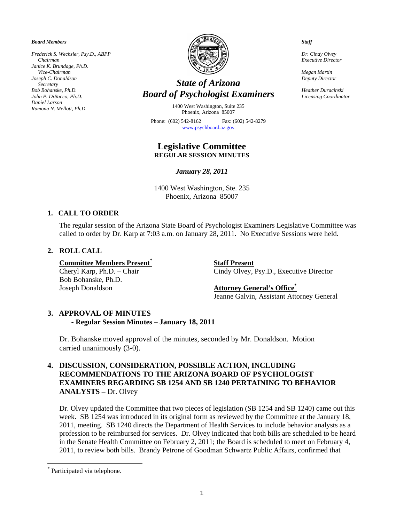*Board Members* 

*Frederick S. Wechsler, Psy.D., ABPP Chairman Janice K. Brundage, Ph.D. Vice-Chairman Joseph C. Donaldson Secretary Bob Bohanske, Ph.D. John P. DiBacco, Ph.D. Daniel Larson Ramona N. Mellott, Ph.D.* 



# *State of Arizona Board of Psychologist Examiners*

1400 West Washington, Suite 235 Phoenix, Arizona 85007

Phone: (602) 542-8162 Fax: (602) 542-8279 www.psychboard.az.gov

## **Legislative Committee REGULAR SESSION MINUTES**

*January 28, 2011* 

1400 West Washington, Ste. 235 Phoenix, Arizona 85007

### **1. CALL TO ORDER**

The regular session of the Arizona State Board of Psychologist Examiners Legislative Committee was called to order by Dr. Karp at 7:03 a.m. on January 28, 2011. No Executive Sessions were held.

## **2. ROLL CALL**

**Committee Members Present\***

Bob Bohanske, Ph.D. Joseph Donaldson **Attorney General's Office\***

 **Staff Present** Cheryl Karp, Ph.D. – Chair Cindy Olvey, Psy.D., Executive Director

Jeanne Galvin, Assistant Attorney General

#### **3. APPROVAL OF MINUTES - Regular Session Minutes – January 18, 2011**

Dr. Bohanske moved approval of the minutes, seconded by Mr. Donaldson. Motion carried unanimously (3-0).

## **4. DISCUSSION, CONSIDERATION, POSSIBLE ACTION, INCLUDING RECOMMENDATIONS TO THE ARIZONA BOARD OF PSYCHOLOGIST EXAMINERS REGARDING SB 1254 AND SB 1240 PERTAINING TO BEHAVIOR ANALYSTS –** Dr. Olvey

Dr. Olvey updated the Committee that two pieces of legislation (SB 1254 and SB 1240) came out this week. SB 1254 was introduced in its original form as reviewed by the Committee at the January 18, 2011, meeting. SB 1240 directs the Department of Health Services to include behavior analysts as a profession to be reimbursed for services. Dr. Olvey indicated that both bills are scheduled to be heard in the Senate Health Committee on February 2, 2011; the Board is scheduled to meet on February 4, 2011, to review both bills. Brandy Petrone of Goodman Schwartz Public Affairs, confirmed that

 $\overline{a}$ 

1

*Staff* 

*Dr. Cindy Olvey Executive Director* 

*Megan Martin Deputy Director* 

*Heather Duracinski Licensing Coordinator* 

<sup>\*</sup> Participated via telephone.